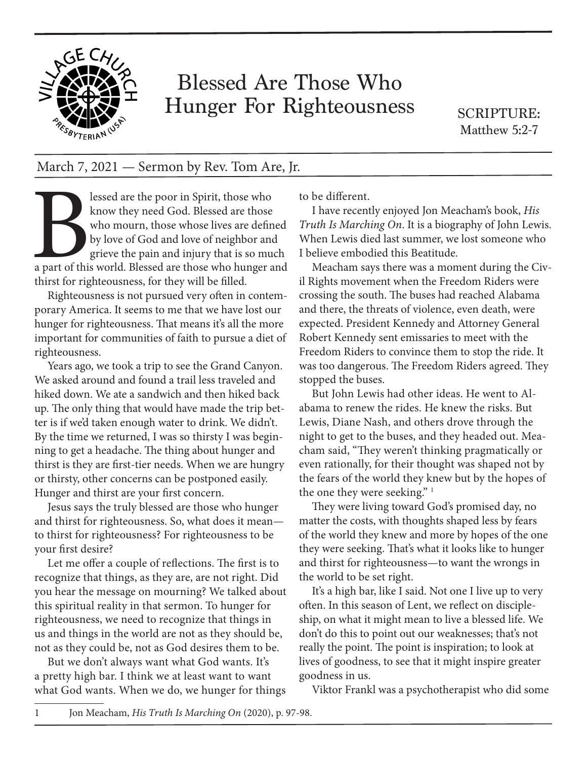

## Blessed Are Those Who Hunger For Righteousness

SCRIPTURE: Matthew 5:2-7

## March 7, 2021 — Sermon by Rev. Tom Are, Jr.

lessed are the poor in Spirit, those who<br>know they need God. Blessed are those<br>who mourn, those whose lives are defin<br>by love of God and love of neighbor and<br>grieve the pain and injury that is so mu<br>a part of this world. B know they need God. Blessed are those who mourn, those whose lives are defined by love of God and love of neighbor and grieve the pain and injury that is so much a part of this world. Blessed are those who hunger and thirst for righteousness, for they will be filled.

Righteousness is not pursued very often in contemporary America. It seems to me that we have lost our hunger for righteousness. That means it's all the more important for communities of faith to pursue a diet of righteousness.

Years ago, we took a trip to see the Grand Canyon. We asked around and found a trail less traveled and hiked down. We ate a sandwich and then hiked back up. The only thing that would have made the trip better is if we'd taken enough water to drink. We didn't. By the time we returned, I was so thirsty I was beginning to get a headache. The thing about hunger and thirst is they are first-tier needs. When we are hungry or thirsty, other concerns can be postponed easily. Hunger and thirst are your first concern.

Jesus says the truly blessed are those who hunger and thirst for righteousness. So, what does it mean to thirst for righteousness? For righteousness to be your first desire?

Let me offer a couple of reflections. The first is to recognize that things, as they are, are not right. Did you hear the message on mourning? We talked about this spiritual reality in that sermon. To hunger for righteousness, we need to recognize that things in us and things in the world are not as they should be, not as they could be, not as God desires them to be.

But we don't always want what God wants. It's a pretty high bar. I think we at least want to want what God wants. When we do, we hunger for things to be different.

I have recently enjoyed Jon Meacham's book, *His Truth Is Marching On*. It is a biography of John Lewis. When Lewis died last summer, we lost someone who I believe embodied this Beatitude.

Meacham says there was a moment during the Civil Rights movement when the Freedom Riders were crossing the south. The buses had reached Alabama and there, the threats of violence, even death, were expected. President Kennedy and Attorney General Robert Kennedy sent emissaries to meet with the Freedom Riders to convince them to stop the ride. It was too dangerous. The Freedom Riders agreed. They stopped the buses.

But John Lewis had other ideas. He went to Alabama to renew the rides. He knew the risks. But Lewis, Diane Nash, and others drove through the night to get to the buses, and they headed out. Meacham said, "They weren't thinking pragmatically or even rationally, for their thought was shaped not by the fears of the world they knew but by the hopes of the one they were seeking."<sup>1</sup>

They were living toward God's promised day, no matter the costs, with thoughts shaped less by fears of the world they knew and more by hopes of the one they were seeking. That's what it looks like to hunger and thirst for righteousness—to want the wrongs in the world to be set right.

It's a high bar, like I said. Not one I live up to very often. In this season of Lent, we reflect on discipleship, on what it might mean to live a blessed life. We don't do this to point out our weaknesses; that's not really the point. The point is inspiration; to look at lives of goodness, to see that it might inspire greater goodness in us.

Viktor Frankl was a psychotherapist who did some